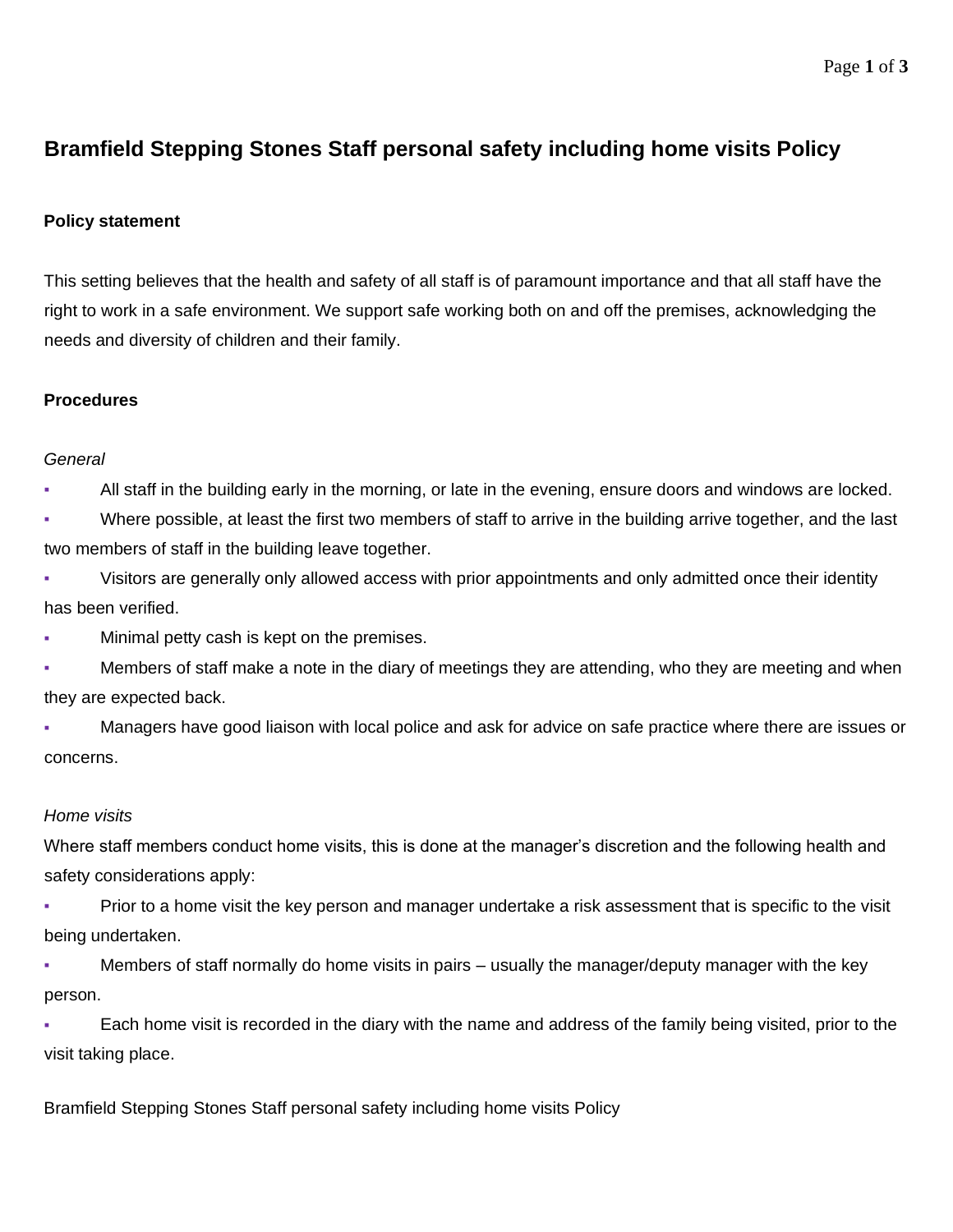# **Bramfield Stepping Stones Staff personal safety including home visits Policy**

## **Policy statement**

This setting believes that the health and safety of all staff is of paramount importance and that all staff have the right to work in a safe environment. We support safe working both on and off the premises, acknowledging the needs and diversity of children and their family.

## **Procedures**

#### *General*

All staff in the building early in the morning, or late in the evening, ensure doors and windows are locked.

▪ Where possible, at least the first two members of staff to arrive in the building arrive together, and the last two members of staff in the building leave together.

Visitors are generally only allowed access with prior appointments and only admitted once their identity has been verified.

- Minimal petty cash is kept on the premises.
- Members of staff make a note in the diary of meetings they are attending, who they are meeting and when they are expected back.

Managers have good liaison with local police and ask for advice on safe practice where there are issues or concerns.

## *Home visits*

Where staff members conduct home visits, this is done at the manager's discretion and the following health and safety considerations apply:

Prior to a home visit the key person and manager undertake a risk assessment that is specific to the visit being undertaken.

Members of staff normally do home visits in pairs – usually the manager/deputy manager with the key person.

Each home visit is recorded in the diary with the name and address of the family being visited, prior to the visit taking place.

Bramfield Stepping Stones Staff personal safety including home visits Policy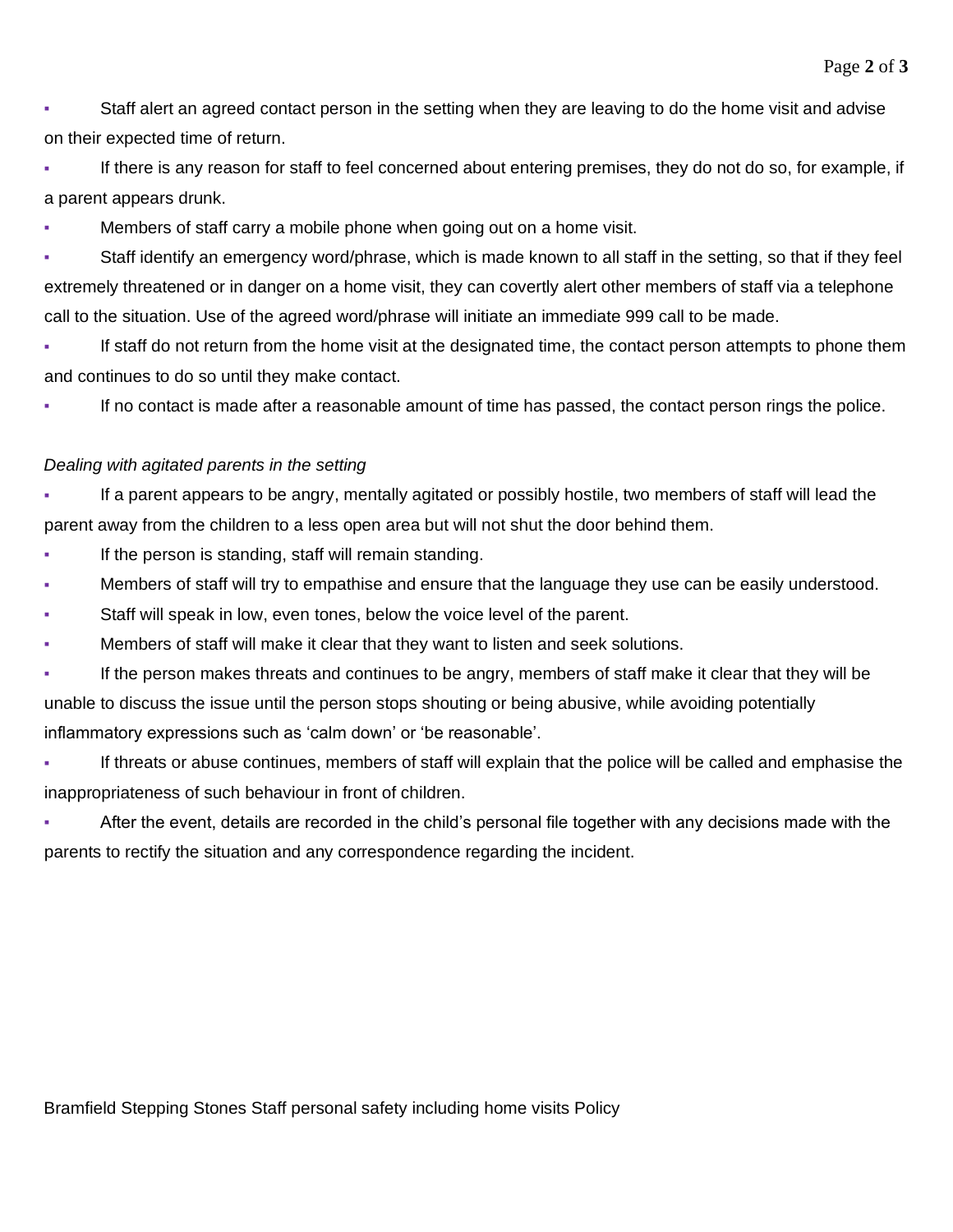▪ Staff alert an agreed contact person in the setting when they are leaving to do the home visit and advise on their expected time of return.

If there is any reason for staff to feel concerned about entering premises, they do not do so, for example, if a parent appears drunk.

Members of staff carry a mobile phone when going out on a home visit.

Staff identify an emergency word/phrase, which is made known to all staff in the setting, so that if they feel extremely threatened or in danger on a home visit, they can covertly alert other members of staff via a telephone call to the situation. Use of the agreed word/phrase will initiate an immediate 999 call to be made.

▪ If staff do not return from the home visit at the designated time, the contact person attempts to phone them and continues to do so until they make contact.

If no contact is made after a reasonable amount of time has passed, the contact person rings the police.

## *Dealing with agitated parents in the setting*

If a parent appears to be angry, mentally agitated or possibly hostile, two members of staff will lead the parent away from the children to a less open area but will not shut the door behind them.

- If the person is standing, staff will remain standing.
- **Members of staff will try to empathise and ensure that the language they use can be easily understood.**
- Staff will speak in low, even tones, below the voice level of the parent.
- Members of staff will make it clear that they want to listen and seek solutions.
- If the person makes threats and continues to be angry, members of staff make it clear that they will be unable to discuss the issue until the person stops shouting or being abusive, while avoiding potentially inflammatory expressions such as 'calm down' or 'be reasonable'.
- If threats or abuse continues, members of staff will explain that the police will be called and emphasise the inappropriateness of such behaviour in front of children.
- After the event, details are recorded in the child's personal file together with any decisions made with the parents to rectify the situation and any correspondence regarding the incident.

Bramfield Stepping Stones Staff personal safety including home visits Policy